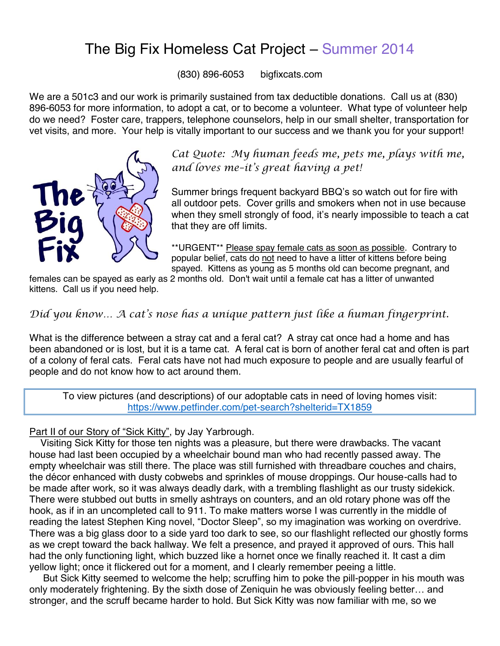## The Big Fix Homeless Cat Project – Summer 2014

(830) 896-6053 bigfixcats.com

We are a 501c3 and our work is primarily sustained from tax deductible donations. Call us at (830) 896-6053 for more information, to adopt a cat, or to become a volunteer. What type of volunteer help do we need? Foster care, trappers, telephone counselors, help in our small shelter, transportation for vet visits, and more. Your help is vitally important to our success and we thank you for your support!



*Cat Quote: My human feeds me, pets me, plays with me, and loves me–it' s great having a pet!*

Summer brings frequent backyard BBQ's so watch out for fire with all outdoor pets. Cover grills and smokers when not in use because when they smell strongly of food, it's nearly impossible to teach a cat that they are off limits.

\*\*URGENT\*\* Please spay female cats as soon as possible. Contrary to popular belief, cats do not need to have a litter of kittens before being spayed. Kittens as young as 5 months old can become pregnant, and

females can be spayed as early as 2 months old. Don't wait until a female cat has a litter of unwanted kittens. Call us if you need help.

## *Did you know… A cat' s nose has a unique pattern just like a human fingerprint.*

What is the difference between a stray cat and a feral cat? A stray cat once had a home and has been abandoned or is lost, but it is a tame cat. A feral cat is born of another feral cat and often is part of a colony of feral cats. Feral cats have not had much exposure to people and are usually fearful of people and do not know how to act around them.

To view pictures (and descriptions) of our adoptable cats in need of loving homes visit: https://www.petfinder.com/pet-search?shelterid=TX1859

Part II of our Story of "Sick Kitty", by Jay Yarbrough.

Visiting Sick Kitty for those ten nights was a pleasure, but there were drawbacks. The vacant house had last been occupied by a wheelchair bound man who had recently passed away. The empty wheelchair was still there. The place was still furnished with threadbare couches and chairs, the décor enhanced with dusty cobwebs and sprinkles of mouse droppings. Our house-calls had to be made after work, so it was always deadly dark, with a trembling flashlight as our trusty sidekick. There were stubbed out butts in smelly ashtrays on counters, and an old rotary phone was off the hook, as if in an uncompleted call to 911. To make matters worse I was currently in the middle of reading the latest Stephen King novel, "Doctor Sleep" , so my imagination was working on overdrive. There was a big glass door to a side yard too dark to see, so our flashlight reflected our ghostly forms as we crept toward the back hallway. We felt a presence, and prayed it approved of ours. This hall had the only functioning light, which buzzed like a hornet once we finally reached it. It cast a dim yellow light; once it flickered out for a moment, and I clearly remember peeing a little.

But Sick Kitty seemed to welcome the help; scruffing him to poke the pill-popper in his mouth was only moderately frightening. By the sixth dose of Zeniquin he was obviously feeling better… and stronger, and the scruff became harder to hold. But Sick Kitty was now familiar with me, so we